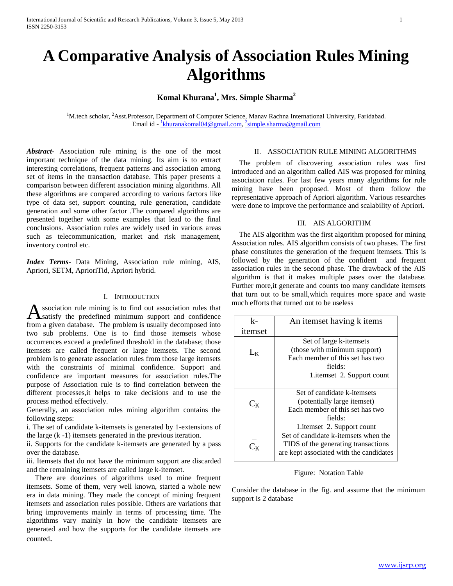# **A Comparative Analysis of Association Rules Mining Algorithms**

# **Komal Khurana<sup>1</sup> , Mrs. Simple Sharma<sup>2</sup>**

<sup>1</sup>M.tech scholar, <sup>2</sup>Asst.Professor, Department of Computer Science, Manav Rachna International University, Faridabad. Email id - <sup>1</sup>[khuranakomal04@gmail.com,](mailto:1khuranakomal04@gmail.com) <sup>2</sup>[simple.sharma@gmail.com](mailto:2simple.sharma@gmail.com)

*Abstract***-** Association rule mining is the one of the most important technique of the data mining. Its aim is to extract interesting correlations, frequent patterns and association among set of items in the transaction database. This paper presents a comparison between different association mining algorithms. All these algorithms are compared according to various factors like type of data set, support counting, rule generation, candidate generation and some other factor .The compared algorithms are presented together with some examples that lead to the final conclusions. Association rules are widely used in various areas such as telecommunication, market and risk management, inventory control etc.

*Index Terms*- Data Mining, Association rule mining, AIS, Apriori, SETM, AprioriTid, Apriori hybrid.

#### I. INTRODUCTION

 $\Delta$  ssociation rule mining is to find out association rules that much effective that satisfy the predefined minimum support and confidence  $\overline{k}$ -<br>from a given database. The problem is usually decomposed into satisfy the predefined minimum support and confidence from a given database. The problem is usually decomposed into two sub problems. One is to find those itemsets whose occurrences exceed a predefined threshold in the database; those itemsets are called frequent or large itemsets. The second problem is to generate association rules from those large itemsets with the constraints of minimal confidence. Support and confidence are important measures for association rules.The purpose of Association rule is to find correlation between the different processes,it helps to take decisions and to use the process method effectively.

Generally, an association rules mining algorithm contains the following steps:

i. The set of candidate k-itemsets is generated by 1-extensions of the large (k -1) itemsets generated in the previous iteration.

ii. Supports for the candidate k-itemsets are generated by a pass over the database.

iii. Itemsets that do not have the minimum support are discarded and the remaining itemsets are called large k-itemset.

 There are douzines of algorithms used to mine frequent itemsets. Some of them, very well known, started a whole new era in data mining. They made the concept of mining frequent itemsets and association rules possible. Others are variations that bring improvements mainly in terms of processing time. The algorithms vary mainly in how the candidate itemsets are generated and how the supports for the candidate itemsets are counted.

# II. ASSOCIATION RULE MINING ALGORITHMS

 The problem of discovering association rules was first introduced and an algorithm called AIS was proposed for mining association rules. For last few years many algorithms for rule mining have been proposed. Most of them follow the representative approach of Apriori algorithm. Various researches were done to improve the performance and scalability of Apriori.

# III. AIS ALGORITHM

 The AIS algorithm was the first algorithm proposed for mining Association rules. AIS algorithm consists of two phases. The first phase constitutes the generation of the frequent itemsets. This is followed by the generation of the confident and frequent association rules in the second phase. The drawback of the AIS algorithm is that it makes multiple pases over the database. Further more,it generate and counts too many candidate itemsets that turn out to be small,which requires more space and waste much efforts that turned out to be useless

| k-                                   | An itemset having k items               |
|--------------------------------------|-----------------------------------------|
| itemset                              |                                         |
|                                      | Set of large k-itemsets                 |
| $L_K$                                | (those with minimum support)            |
|                                      | Each member of this set has two         |
|                                      | fields:                                 |
|                                      | 1. itemset 2. Support count             |
|                                      |                                         |
|                                      | Set of candidate k-itemsets             |
| $\mathrm{C_{\scriptscriptstyle{K}}}$ | (potentially large itemset)             |
|                                      | Each member of this set has two         |
|                                      | fields:                                 |
|                                      | 1. itemset 2. Support count             |
|                                      | Set of candidate k-itemsets when the    |
|                                      | TIDS of the generating transactions     |
|                                      | are kept associated with the candidates |

#### Figure: Notation Table

Consider the database in the fig. and assume that the minimum support is 2 database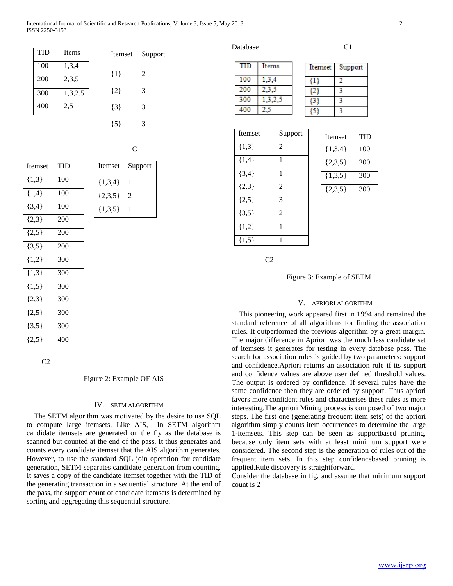| International Journal of Scientific and Research Publications, Volume 3, Issue 5, May 2013 |  |
|--------------------------------------------------------------------------------------------|--|
| ISSN 2250-3153                                                                             |  |

| TID | <b>Items</b> |
|-----|--------------|
| 100 | 1,3,4        |
| 200 | 2,3,5        |
| 300 | 1,3,2,5      |
| 400 | 2.5          |

| Itemset | Support        |
|---------|----------------|
| ${1}$   | $\overline{2}$ |
| ${2}$   | 3              |
| ${3}$   | 3              |
| ${5}$   | 3              |

| Itemset   | <b>TID</b> | Itemset   | Su             |
|-----------|------------|-----------|----------------|
| ${1,3}$   | 100        | ${1,3,4}$ | 1              |
| ${1,4}$   | 100        | ${2,3,5}$ | $\overline{c}$ |
| $\{3,4\}$ | 100        | ${1,3,5}$ |                |
| $\{2,3\}$ | 200        |           |                |
| $\{2,5\}$ | 200        |           |                |

| Itemset     | Support        |
|-------------|----------------|
| ${1,3,4}$   |                |
| $\{2,3,5\}$ | $\mathfrak{D}$ |
| ${1,3,5}$   |                |

 $C<sub>2</sub>$ 

 $\{3,5\}$  200  $\{1,2\}$  300  $\{1,3\}$  300  $\{1,5\}$  300  $\{2,3\}$  300  ${2,5}$  300  $\{3,5\}$  300  ${2,5}$  400

# Figure 2: Example OF AIS

#### IV. SETM ALGORITHM

 The SETM algorithm was motivated by the desire to use SQL to compute large itemsets. Like AIS, In SETM algorithm candidate itemsets are generated on the fly as the database is scanned but counted at the end of the pass. It thus generates and counts every candidate itemset that the AIS algorithm generates. However, to use the standard SQL join operation for candidate generation, SETM separates candidate generation from counting. It saves a copy of the candidate itemset together with the TID of the generating transaction in a sequential structure. At the end of the pass, the support count of candidate itemsets is determined by sorting and aggregating this sequential structure.

Database C1

| TID | Items |  |
|-----|-------|--|
| 100 | 3.4   |  |
| 200 |       |  |
| 300 |       |  |
| эo  |       |  |

| temset | Support |
|--------|---------|
|        |         |
|        |         |
|        |         |
|        |         |

Itemset | TID  $\{1,3,4\}$  | 100  $\{2,3,5\}$  | 200  $\{1,3,5\}$  300  $\{2,3,5\}$  300

| Itemset   | Support        |
|-----------|----------------|
| ${1,3}$   | $\overline{2}$ |
| ${1,4}$   | 1              |
| $\{3,4\}$ | 1              |
| ${2,3}$   | $\overline{2}$ |
| ${2,5}$   | 3              |
| $\{3,5\}$ | $\overline{2}$ |
| ${1,2}$   | 1              |
| ${1,5}$   | 1              |

 $C<sub>2</sub>$ 

Figure 3: Example of SETM

#### V. APRIORI ALGORITHM

 This pioneering work appeared first in 1994 and remained the standard reference of all algorithms for finding the association rules. It outperformed the previous algorithm by a great margin. The major difference in Apriori was the much less candidate set of itemsets it generates for testing in every database pass. The search for association rules is guided by two parameters: support and confidence.Apriori returns an association rule if its support and confidence values are above user defined threshold values. The output is ordered by confidence. If several rules have the same confidence then they are ordered by support. Thus apriori favors more confident rules and characterises these rules as more interesting.The apriori Mining process is composed of two major steps. The first one (generating frequent item sets) of the apriori algorithm simply counts item occurrences to determine the large 1-itemsets. This step can be seen as supportbased pruning, because only item sets with at least minimum support were considered. The second step is the generation of rules out of the frequent item sets. In this step confidencebased pruning is applied.Rule discovery is straightforward.

Consider the database in fig. and assume that minimum support count is 2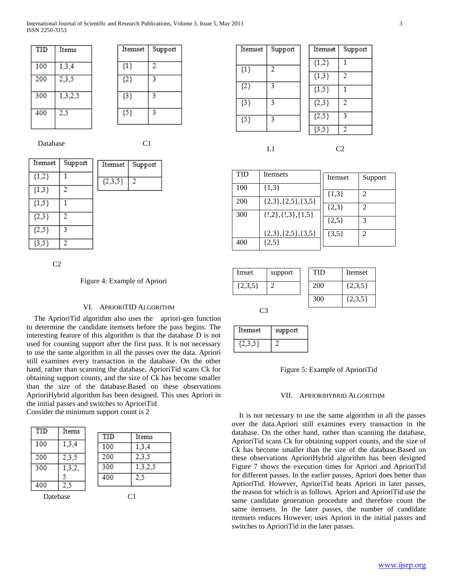| TID | Items   |
|-----|---------|
| 100 | 1,3,4   |
| 200 | 2,3,5   |
| 300 | 1,3,2,5 |
| 400 | 2,5     |



Database C1

Support

2

| Itemset   | Support | Itemset   |
|-----------|---------|-----------|
| ${1,2}$   |         | ${2,3,5}$ |
| ${1,3}$   | 2       |           |
| ${1,5}$   |         |           |
| ${2,3}$   | 2       |           |
| ${2,5}$   | 3       |           |
| $\{3,5\}$ | 2       |           |

 $C<sub>2</sub>$ 

# Figure 4: Example of Apriori

# VI. APRIORITID ALGORITHM

 The AprioriTid algorithm also uses the apriori-gen function to determine the candidate itemsets before the pass begins. The interesting feature of this algorithm is that the database D is not used for counting support after the first pass. It is not necessary to use the same algorithm in all the passes over the data. Apriori still examines every transaction in the database. On the other hand, rather than scanning the database, AprioriTid scans Ck for obtaining support counts, and the size of Ck has become smaller than the size of the database.Based on these observations AprioriHybrid algorithm has been designed. This uses Apriori in the initial passes and switches to AprioriTid Consider the minimum support count is 2

| TID      | Items  |     |         |
|----------|--------|-----|---------|
|          |        | TID | Items   |
| 100      | 1,3,4  | 100 | 1,3,4   |
| 200      | 2,3,5  | 200 | 2,3,5   |
| 300      | 1,3,2, | 300 | 1,3,2,5 |
|          |        | 400 | 2,5     |
| 400      | 2,5    |     |         |
| Datebase |        |     | C1      |

| Itemset | Support | Itemset |
|---------|---------|---------|
| $\{1\}$ | 2       | ${1,2}$ |
|         |         | ${1,3}$ |
| ${2}$   | 3       | ${1,5}$ |
| ${3}$   | 3       | ${2,3}$ |
| ${5}$   | 3       | ${2,5}$ |
|         |         | 13 S S  |

$$
L1 \hspace{1.5cm} C2
$$

2

Support

 $\overline{1}$ 

 $\overline{2}$ 

 $\overline{1}$ 

 $\overline{2}$ 

 $\overline{\mathbf{3}}$ 

| <b>TID</b> | Itemsets                         | Itemset   | Support        |
|------------|----------------------------------|-----------|----------------|
| 100        | ${1,3}$                          | ${1,3}$   | $\mathfrak{D}$ |
| 200        | ${2,3}, {2,5}, {3,5}$            | ${2,3}$   | $\mathfrak{D}$ |
| 300        | $\{!,2\},\{!,3\},\{1,5\}$        | ${2,5}$   | 3              |
| 400        | ${2,3}, {2,5}, {3,5}$<br>${2,5}$ | $\{3,5\}$ | 2              |

| Imset       | support | <b>TID</b> | Itemset     |  |
|-------------|---------|------------|-------------|--|
| $\{2,3,5\}$ |         | <b>200</b> | $\{2,3,5\}$ |  |
|             |         | 300        | $\{2,3,5\}$ |  |

C3

| temset | support |
|--------|---------|
|        |         |

# Figure 5: Example of AprioriTid

#### VII. APRIORIHYBRID ALGORITHM

 It is not necessary to use the same algorithm in all the passes over the data.Apriori still examines every transaction in the database. On the other hand, rather than scanning the database, AprioriTid scans Ck for obtaining support counts, and the size of Ck has become smaller than the size of the database.Based on these observations AprioriHybrid algorithm has been designed Figure 7 shows the execution times for Apriori and AprioriTid for different passes. In the earlier passes, Apriori does better than AprioriTid. However, AprioriTid beats Apriori in later passes, the reason for which is as follows. Apriori and AprioriTid use the same candidate generation procedure and therefore count the same itemsets. In the later passes, the number of candidate itemsets reduces However; uses Apriori in the initial passes and switches to AprioriTid in the later passes.